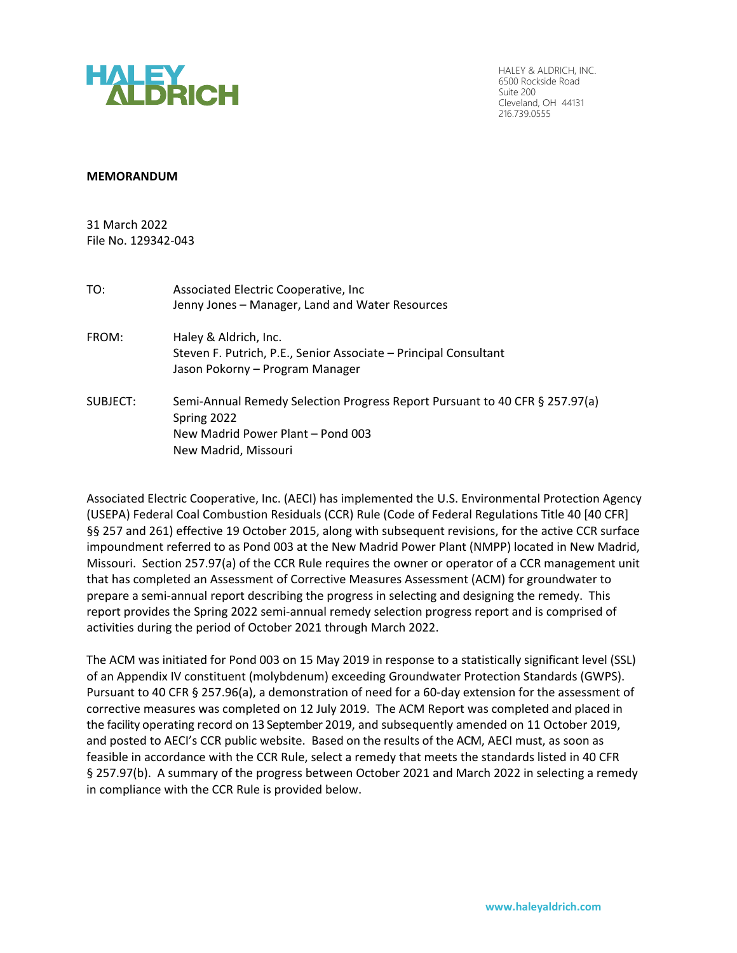

HALEY & ALDRICH, INC. 6500 Rockside Road Suite 200 Cleveland, OH 44131 216.739.0555

## **MEMORANDUM**

 31 March 2022 File No. 129342‐043

| TO:      | Associated Electric Cooperative, Inc.<br>Jenny Jones - Manager, Land and Water Resources                                                                |
|----------|---------------------------------------------------------------------------------------------------------------------------------------------------------|
| FROM:    | Haley & Aldrich, Inc.<br>Steven F. Putrich, P.E., Senior Associate - Principal Consultant<br>Jason Pokorny – Program Manager                            |
| SUBJECT: | Semi-Annual Remedy Selection Progress Report Pursuant to 40 CFR § 257.97(a)<br>Spring 2022<br>New Madrid Power Plant – Pond 003<br>New Madrid, Missouri |

 Associated Electric Cooperative, Inc. (AECI) has implemented the U.S. Environmental Protection Agency (USEPA) Federal Coal Combustion Residuals (CCR) Rule (Code of Federal Regulations Title 40 [40 CFR] §§ 257 and 261) effective 19 October 2015, along with subsequent revisions, for the active CCR surface impoundment referred to as Pond 003 at the New Madrid Power Plant (NMPP) located in New Madrid, Missouri. Section 257.97(a) of the CCR Rule requires the owner or operator of a CCR management unit that has completed an Assessment of Corrective Measures Assessment (ACM) for groundwater to prepare a semi‐annual report describing the progress in selecting and designing the remedy. This report provides the Spring 2022 semi‐annual remedy selection progress report and is comprised of activities during the period of October 2021 through March 2022.

 The ACM was initiated for Pond 003 on 15 May 2019 in response to a statistically significant level (SSL) of an Appendix IV constituent (molybdenum) exceeding Groundwater Protection Standards (GWPS). Pursuant to 40 CFR § 257.96(a), a demonstration of need for a 60‐day extension for the assessment of corrective measures was completed on 12 July 2019. The ACM Report was completed and placed in the facility operating record on 13 September 2019, and subsequently amended on 11 October 2019, and posted to AECI's CCR public website. Based on the results of the ACM, AECI must, as soon as feasible in accordance with the CCR Rule, select a remedy that meets the standards listed in 40 CFR § 257.97(b). A summary of the progress between October 2021 and March 2022 in selecting a remedy in compliance with the CCR Rule is provided below.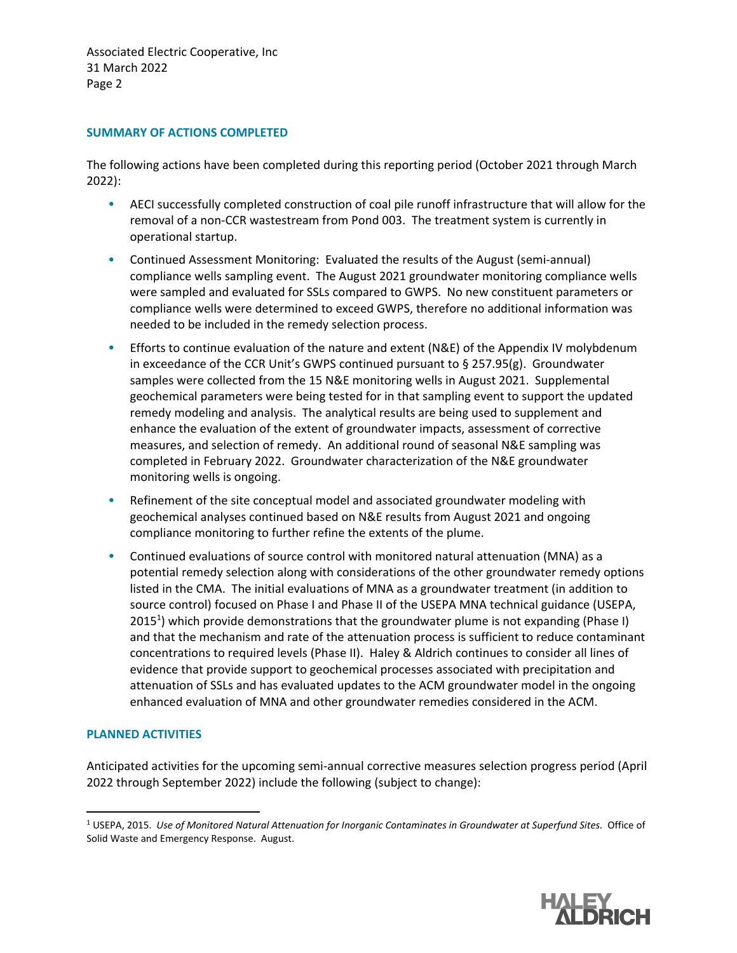Associated Electric Cooperative, Inc 31 March 2022 Page 2

## **SUMMARY OF ACTIONS COMPLETED**

 The following actions have been completed during this reporting period (October 2021 through March 2022):

- AECI successfully completed construction of coal pile runoff infrastructure that will allow for the removal of a non‐CCR wastestream from Pond 003. The treatment system is currently in operational startup.
- Continued Assessment Monitoring: Evaluated the results of the August (semi‐annual) compliance wells sampling event. The August 2021 groundwater monitoring compliance wells were sampled and evaluated for SSLs compared to GWPS. No new constituent parameters or compliance wells were determined to exceed GWPS, therefore no additional information was needed to be included in the remedy selection process.
- Efforts to continue evaluation of the nature and extent (N&E) of the Appendix IV molybdenum in exceedance of the CCR Unit's GWPS continued pursuant to § 257.95(g). Groundwater samples were collected from the 15 N&E monitoring wells in August 2021. Supplemental geochemical parameters were being tested for in that sampling event to support the updated remedy modeling and analysis. The analytical results are being used to supplement and enhance the evaluation of the extent of groundwater impacts, assessment of corrective measures, and selection of remedy. An additional round of seasonal N&E sampling was completed in February 2022. Groundwater characterization of the N&E groundwater monitoring wells is ongoing.
- Refinement of the site conceptual model and associated groundwater modeling with geochemical analyses continued based on N&E results from August 2021 and ongoing compliance monitoring to further refine the extents of the plume.
- Continued evaluations of source control with monitored natural attenuation (MNA) as a potential remedy selection along with considerations of the other groundwater remedy options listed in the CMA. The initial evaluations of MNA as a groundwater treatment (in addition to source control) focused on Phase I and Phase II of the USEPA MNA technical guidance (USEPA, 2015<sup>1</sup>) which provide demonstrations that the groundwater plume is not expanding (Phase I) and that the mechanism and rate of the attenuation process is sufficient to reduce contaminant concentrations to required levels (Phase II). Haley & Aldrich continues to consider all lines of evidence that provide support to geochemical processes associated with precipitation and attenuation of SSLs and has evaluated updates to the ACM groundwater model in the ongoing enhanced evaluation of MNA and other groundwater remedies considered in the ACM.

## **PLANNED ACTIVITIES**

 Anticipated activities for the upcoming semi‐annual corrective measures selection progress period (April 2022 through September 2022) include the following (subject to change):

 $^1$  USEPA, 2015. Use of Monitored Natural Attenuation for Inorganic Contaminates in Groundwater at Superfund Sites. Office of Solid Waste and Emergency Response. August.